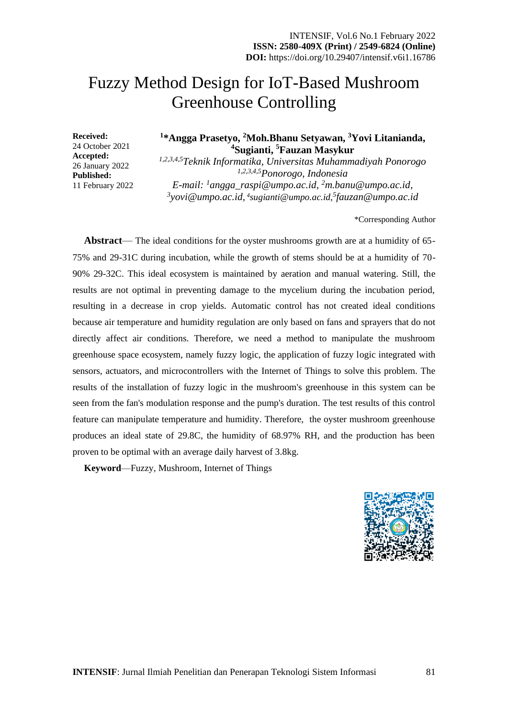# Fuzzy Method Design for IoT-Based Mushroom Greenhouse Controlling

**Received:** 24 October 2021 **Accepted:** 26 January 2022 **Published:** 11 February 2022

## **1 \*Angga Prasetyo, <sup>2</sup>Moh.Bhanu Setyawan, <sup>3</sup>Yovi Litanianda, <sup>4</sup>Sugianti, <sup>5</sup>Fauzan Masykur**

*1,2,3,4,5Teknik Informatika, Universitas Muhammadiyah Ponorogo 1,2,3,4,5Ponorogo, Indonesia E-mail: <sup>1</sup>angga\_raspi@umpo.ac.id, <sup>2</sup>m.banu@umpo.ac.id,*  <sup>3</sup>yovi@umpo.ac.id, <sup>4</sup>[sugianti@umpo.ac.id,](mailto:sugianti@umpo.ac.id) <sup>5</sup>fauzan@umpo.ac.id

\*Corresponding Author

**Abstract**— The ideal conditions for the oyster mushrooms growth are at a humidity of 65- 75% and 29-31C during incubation, while the growth of stems should be at a humidity of 70- 90% 29-32C. This ideal ecosystem is maintained by aeration and manual watering. Still, the results are not optimal in preventing damage to the mycelium during the incubation period, resulting in a decrease in crop yields. Automatic control has not created ideal conditions because air temperature and humidity regulation are only based on fans and sprayers that do not directly affect air conditions. Therefore, we need a method to manipulate the mushroom greenhouse space ecosystem, namely fuzzy logic, the application of fuzzy logic integrated with sensors, actuators, and microcontrollers with the Internet of Things to solve this problem. The results of the installation of fuzzy logic in the mushroom's greenhouse in this system can be seen from the fan's modulation response and the pump's duration. The test results of this control feature can manipulate temperature and humidity. Therefore, the oyster mushroom greenhouse produces an ideal state of 29.8C, the humidity of 68.97% RH, and the production has been proven to be optimal with an average daily harvest of 3.8kg.

**Keyword**—Fuzzy, Mushroom, Internet of Things

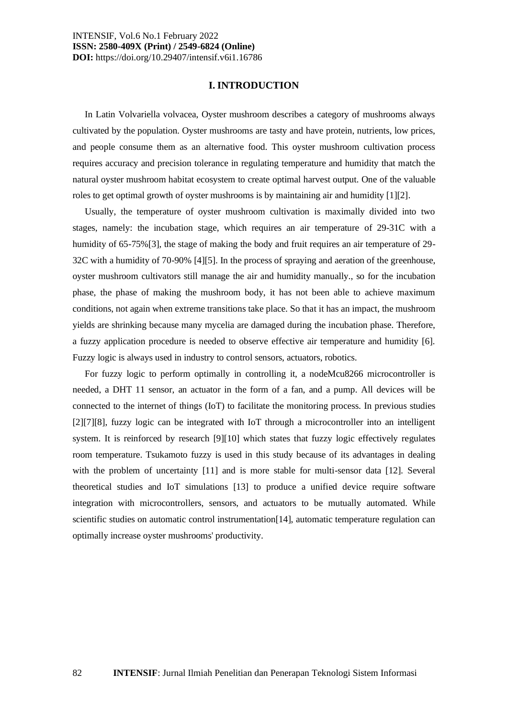#### **I. INTRODUCTION**

In Latin Volvariella volvacea, Oyster mushroom describes a category of mushrooms always cultivated by the population. Oyster mushrooms are tasty and have protein, nutrients, low prices, and people consume them as an alternative food. This oyster mushroom cultivation process requires accuracy and precision tolerance in regulating temperature and humidity that match the natural oyster mushroom habitat ecosystem to create optimal harvest output. One of the valuable roles to get optimal growth of oyster mushrooms is by maintaining air and humidity [1][2].

Usually, the temperature of oyster mushroom cultivation is maximally divided into two stages, namely: the incubation stage, which requires an air temperature of 29-31C with a humidity of 65-75%[3], the stage of making the body and fruit requires an air temperature of 29-32C with a humidity of 70-90% [4][5]. In the process of spraying and aeration of the greenhouse, oyster mushroom cultivators still manage the air and humidity manually., so for the incubation phase, the phase of making the mushroom body, it has not been able to achieve maximum conditions, not again when extreme transitions take place. So that it has an impact, the mushroom yields are shrinking because many mycelia are damaged during the incubation phase. Therefore, a fuzzy application procedure is needed to observe effective air temperature and humidity [6]. Fuzzy logic is always used in industry to control sensors, actuators, robotics.

For fuzzy logic to perform optimally in controlling it, a nodeMcu8266 microcontroller is needed, a DHT 11 sensor, an actuator in the form of a fan, and a pump. All devices will be connected to the internet of things (IoT) to facilitate the monitoring process. In previous studies [2][7][8], fuzzy logic can be integrated with IoT through a microcontroller into an intelligent system. It is reinforced by research [9][10] which states that fuzzy logic effectively regulates room temperature. Tsukamoto fuzzy is used in this study because of its advantages in dealing with the problem of uncertainty [11] and is more stable for multi-sensor data [12]. Several theoretical studies and IoT simulations [13] to produce a unified device require software integration with microcontrollers, sensors, and actuators to be mutually automated. While scientific studies on automatic control instrumentation[14], automatic temperature regulation can optimally increase oyster mushrooms' productivity.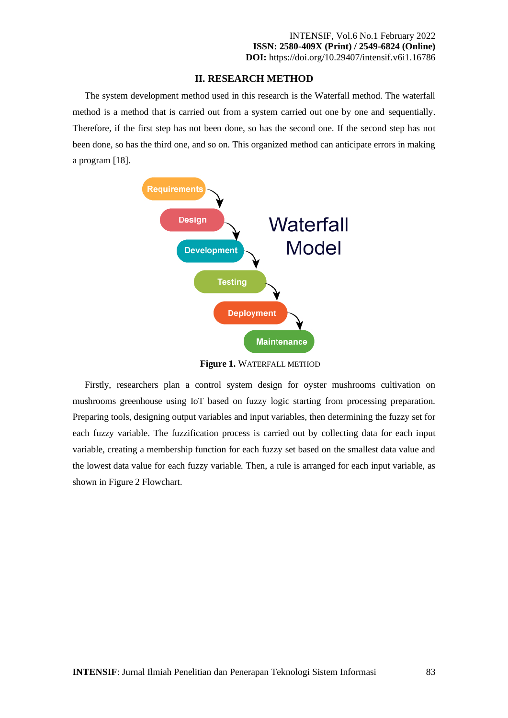## **II. RESEARCH METHOD**

The system development method used in this research is the Waterfall method. The waterfall method is a method that is carried out from a system carried out one by one and sequentially. Therefore, if the first step has not been done, so has the second one. If the second step has not been done, so has the third one, and so on. This organized method can anticipate errors in making a program [18].



**Figure 1.** WATERFALL METHOD

Firstly, researchers plan a control system design for oyster mushrooms cultivation on mushrooms greenhouse using IoT based on fuzzy logic starting from processing preparation. Preparing tools, designing output variables and input variables, then determining the fuzzy set for each fuzzy variable. The fuzzification process is carried out by collecting data for each input variable, creating a membership function for each fuzzy set based on the smallest data value and the lowest data value for each fuzzy variable. Then, a rule is arranged for each input variable, as shown in Figure 2 Flowchart.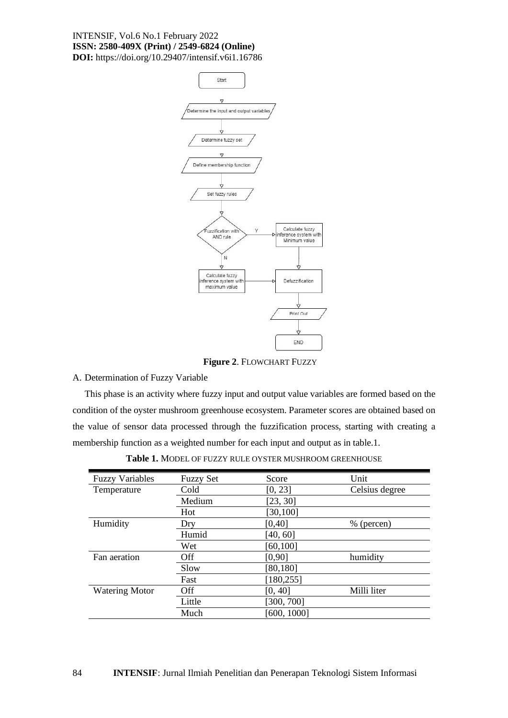

**Figure 2**. FLOWCHART FUZZY

#### A. Determination of Fuzzy Variable

This phase is an activity where fuzzy input and output value variables are formed based on the condition of the oyster mushroom greenhouse ecosystem. Parameter scores are obtained based on the value of sensor data processed through the fuzzification process, starting with creating a membership function as a weighted number for each input and output as in table.1.

| <b>Fuzzy Set</b> | Score       | Unit           |
|------------------|-------------|----------------|
| Cold             | [0, 23]     | Celsius degree |
| Medium           | [23, 30]    |                |
| Hot              | [30,100]    |                |
| Dry              | [0, 40]     | $%$ (percen)   |
| Humid            | [40, 60]    |                |
| Wet              | [60, 100]   |                |
| Off              | [0,90]      | humidity       |
| Slow             | [80, 180]   |                |
| Fast             | [180, 255]  |                |
| Off              | [0, 40]     | Milli liter    |
| Little           | [300, 700]  |                |
| Much             | [600, 1000] |                |
|                  |             |                |

**Table 1.** MODEL OF FUZZY RULE OYSTER MUSHROOM GREENHOUSE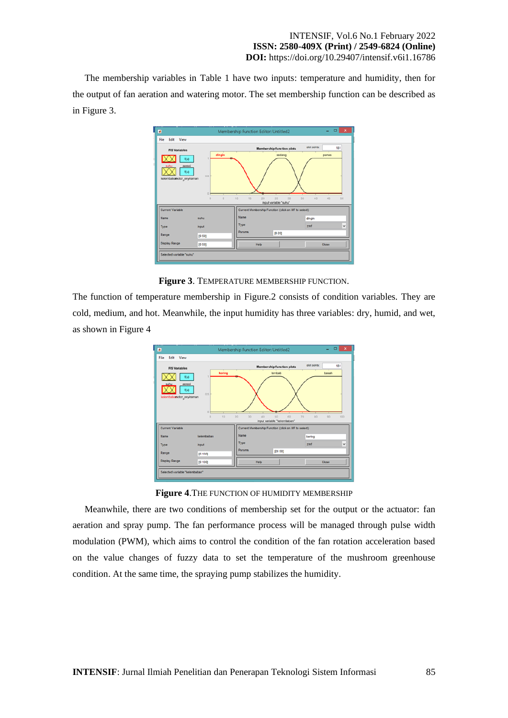The membership variables in Table 1 have two inputs: temperature and humidity, then for the output of fan aeration and watering motor. The set membership function can be described as in Figure 3.



**Figure 3**. TEMPERATURE MEMBERSHIP FUNCTION.

The function of temperature membership in Figure.2 consists of condition variables. They are cold, medium, and hot. Meanwhile, the input humidity has three variables: dry, humid, and wet, as shown in Figure 4



**Figure 4**.THE FUNCTION OF HUMIDITY MEMBERSHIP

Meanwhile, there are two conditions of membership set for the output or the actuator: fan aeration and spray pump. The fan performance process will be managed through pulse width modulation (PWM), which aims to control the condition of the fan rotation acceleration based on the value changes of fuzzy data to set the temperature of the mushroom greenhouse condition. At the same time, the spraying pump stabilizes the humidity.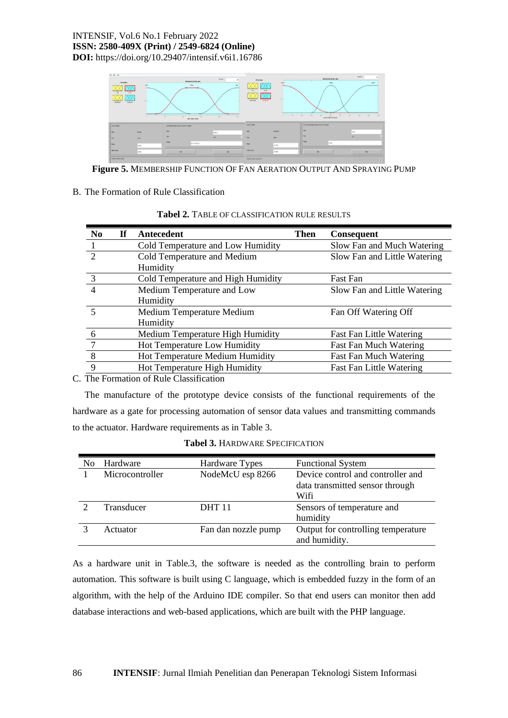

**Figure 5.** MEMBERSHIP FUNCTION OF FAN AERATION OUTPUT AND SPRAYING PUMP

## B. The Formation of Rule Classification

| N <sub>0</sub>  | If | Antecedent                         | Then | <b>Consequent</b>               |
|-----------------|----|------------------------------------|------|---------------------------------|
|                 |    | Cold Temperature and Low Humidity  |      | Slow Fan and Much Watering      |
| $\mathcal{D}$   |    | Cold Temperature and Medium        |      | Slow Fan and Little Watering    |
|                 |    | Humidity                           |      |                                 |
| 3               |    | Cold Temperature and High Humidity |      | <b>Fast Fan</b>                 |
| 4               |    | Medium Temperature and Low         |      | Slow Fan and Little Watering    |
|                 |    | Humidity                           |      |                                 |
| 5               |    | Medium Temperature Medium          |      | Fan Off Watering Off            |
|                 |    | Humidity                           |      |                                 |
| 6               |    | Medium Temperature High Humidity   |      | <b>Fast Fan Little Watering</b> |
| $7\phantom{.0}$ |    | Hot Temperature Low Humidity       |      | <b>Fast Fan Much Watering</b>   |
| 8               |    | Hot Temperature Medium Humidity    |      | <b>Fast Fan Much Watering</b>   |
| 9               |    | Hot Temperature High Humidity      |      | <b>Fast Fan Little Watering</b> |

**Tabel 2.** TABLE OF CLASSIFICATION RULE RESULTS

C. The Formation of Rule Classification

The manufacture of the prototype device consists of the functional requirements of the hardware as a gate for processing automation of sensor data values and transmitting commands to the actuator. Hardware requirements as in Table 3.

| N <sub>0</sub> | Hardware        | Hardware Types      | <b>Functional System</b>                                                     |
|----------------|-----------------|---------------------|------------------------------------------------------------------------------|
|                | Microcontroller | NodeMcU esp 8266    | Device control and controller and<br>data transmitted sensor through<br>Wifi |
|                | Transducer      | <b>DHT11</b>        | Sensors of temperature and<br>humidity                                       |
|                | Actuator        | Fan dan nozzle pump | Output for controlling temperature<br>and humidity.                          |

**Tabel 3.** HARDWARE SPECIFICATION

As a hardware unit in Table.3, the software is needed as the controlling brain to perform automation. This software is built using C language, which is embedded fuzzy in the form of an algorithm, with the help of the Arduino IDE compiler. So that end users can monitor then add database interactions and web-based applications, which are built with the PHP language.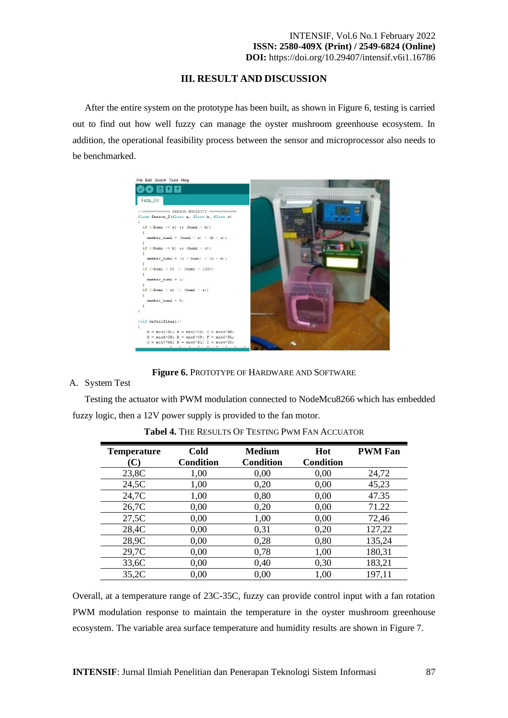## **III. RESULT AND DISCUSSION**

After the entire system on the prototype has been built, as shown in Figure 6, testing is carried out to find out how well fuzzy can manage the oyster mushroom greenhouse ecosystem. In addition, the operational feasibility process between the sensor and microprocessor also needs to be benchmarked.



**Figure 6.** PROTOTYPE OF HARDWARE AND SOFTWARE

#### A. System Test

Testing the actuator with PWM modulation connected to NodeMcu8266 which has embedded fuzzy logic, then a 12V power supply is provided to the fan motor.

| <b>Temperature</b> | Cold             | <b>Medium</b>    | Hot              | <b>PWM Fan</b> |
|--------------------|------------------|------------------|------------------|----------------|
| $\mathbf{C}$       | <b>Condition</b> | <b>Condition</b> | <b>Condition</b> |                |
| 23,8C              | 1,00             | 0,00             | 0,00             | 24,72          |
| 24,5C              | 1,00             | 0,20             | 0,00             | 45,23          |
| 24,7C              | 1,00             | 0,80             | 0,00             | 47.35          |
| 26,7C              | 0,00             | 0,20             | 0,00             | 71.22          |
| 27,5C              | 0,00             | 1,00             | 0,00             | 72,46          |
| 28,4C              | 0,00             | 0,31             | 0,20             | 127,22         |
| 28,9C              | 0,00             | 0,28             | 0,80             | 135,24         |
| 29,7C              | 0,00             | 0,78             | 1,00             | 180,31         |
| 33,6C              | 0,00             | 0,40             | 0,30             | 183,21         |
| 35,2C              | 0.00             | 0,00             | 1,00             | 197,11         |

**Tabel 4.** THE RESULTS OF TESTING PWM FAN ACCUATOR

Overall, at a temperature range of 23C-35C, fuzzy can provide control input with a fan rotation PWM modulation response to maintain the temperature in the oyster mushroom greenhouse ecosystem. The variable area surface temperature and humidity results are shown in Figure 7.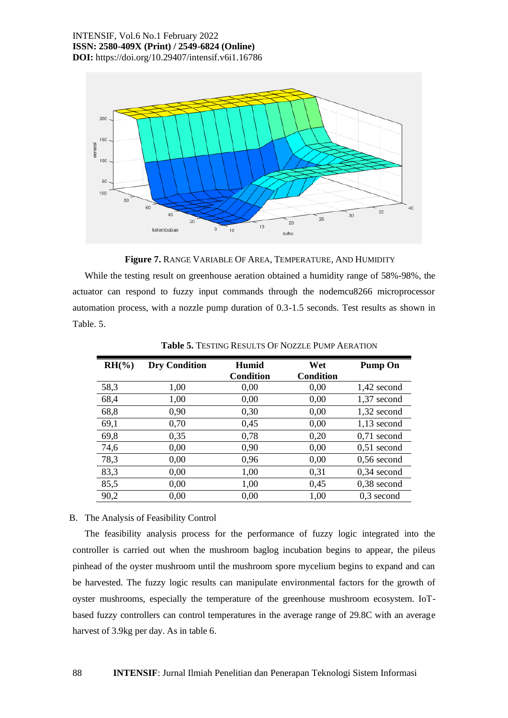

**Figure 7.** RANGE VARIABLE OF AREA, TEMPERATURE, AND HUMIDITY

While the testing result on greenhouse aeration obtained a humidity range of 58%-98%, the actuator can respond to fuzzy input commands through the nodemcu8266 microprocessor automation process, with a nozzle pump duration of 0.3-1.5 seconds. Test results as shown in Table. 5.

| $RH({\cal Y}_0)$ | <b>Dry Condition</b> | Humid<br><b>Condition</b> | Wet<br><b>Condition</b> | <b>Pump On</b> |
|------------------|----------------------|---------------------------|-------------------------|----------------|
| 58,3             | 1,00                 | 0,00                      | 0,00                    | 1,42 second    |
|                  |                      |                           |                         |                |
| 68,4             | 1,00                 | 0,00                      | 0,00                    | $1,37$ second  |
| 68,8             | 0,90                 | 0,30                      | 0,00                    | 1,32 second    |
| 69,1             | 0,70                 | 0,45                      | 0,00                    | $1,13$ second  |
| 69,8             | 0,35                 | 0,78                      | 0,20                    | $0,71$ second  |
| 74,6             | 0,00                 | 0,90                      | 0,00                    | $0,51$ second  |
| 78,3             | 0,00                 | 0,96                      | 0,00                    | $0,56$ second  |
| 83,3             | 0,00                 | 1,00                      | 0,31                    | $0,34$ second  |
| 85,5             | 0,00                 | 1,00                      | 0,45                    | $0,38$ second  |
| 90,2             | 0.00                 | 0.00                      | 1,00                    | $0,3$ second   |

**Table 5.** TESTING RESULTS OF NOZZLE PUMP AERATION

## B. The Analysis of Feasibility Control

The feasibility analysis process for the performance of fuzzy logic integrated into the controller is carried out when the mushroom baglog incubation begins to appear, the pileus pinhead of the oyster mushroom until the mushroom spore mycelium begins to expand and can be harvested. The fuzzy logic results can manipulate environmental factors for the growth of oyster mushrooms, especially the temperature of the greenhouse mushroom ecosystem. IoTbased fuzzy controllers can control temperatures in the average range of 29.8C with an average harvest of 3.9kg per day. As in table 6.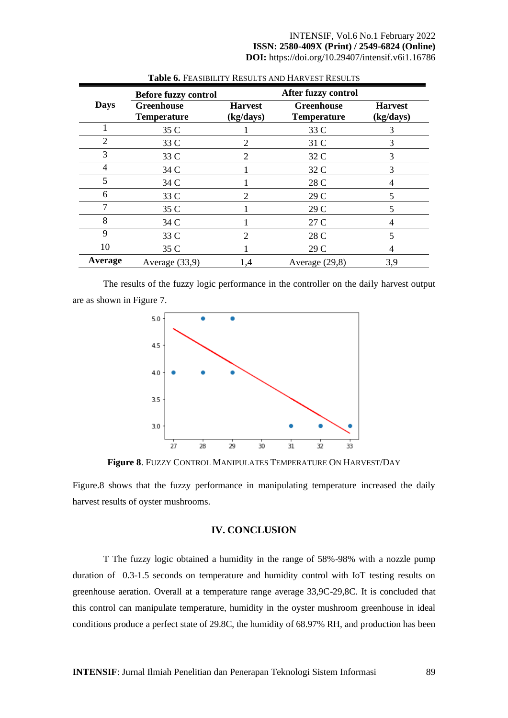|             | <b>Before fuzzy control</b>             |                             | After fuzzy control                     |                             |
|-------------|-----------------------------------------|-----------------------------|-----------------------------------------|-----------------------------|
| <b>Days</b> | <b>Greenhouse</b><br><b>Temperature</b> | <b>Harvest</b><br>(kg/days) | <b>Greenhouse</b><br><b>Temperature</b> | <b>Harvest</b><br>(kg/days) |
|             | 35 C                                    |                             | 33 C                                    | 3                           |
| 2           | 33 C                                    |                             | 31 C                                    | 3                           |
| 3           | 33 C                                    |                             | 32 C                                    | 3                           |
| 4           | 34 C                                    |                             | 32 C                                    | 3                           |
| 5           | 34 C                                    |                             | 28 C                                    | 4                           |
| 6           | 33 C                                    |                             | 29 C                                    | 5                           |
| 7           | 35 C                                    |                             | 29 C                                    | 5                           |
| 8           | 34 C                                    |                             | 27 C                                    | 4                           |
| 9           | 33 C                                    |                             | 28 C                                    | 5                           |
| 10          | 35 C                                    |                             | 29 C                                    |                             |
| Average     | Average (33,9)                          | 1,4                         | Average (29,8)                          | 3,9                         |

**Table 6.** FEASIBILITY RESULTS AND HARVEST RESULTS

The results of the fuzzy logic performance in the controller on the daily harvest output are as shown in Figure 7.



**Figure 8**. FUZZY CONTROL MANIPULATES TEMPERATURE ON HARVEST/DAY

Figure.8 shows that the fuzzy performance in manipulating temperature increased the daily harvest results of oyster mushrooms.

## **IV. CONCLUSION**

T The fuzzy logic obtained a humidity in the range of 58%-98% with a nozzle pump duration of 0.3-1.5 seconds on temperature and humidity control with IoT testing results on greenhouse aeration. Overall at a temperature range average 33,9C-29,8C. It is concluded that this control can manipulate temperature, humidity in the oyster mushroom greenhouse in ideal conditions produce a perfect state of 29.8C, the humidity of 68.97% RH, and production has been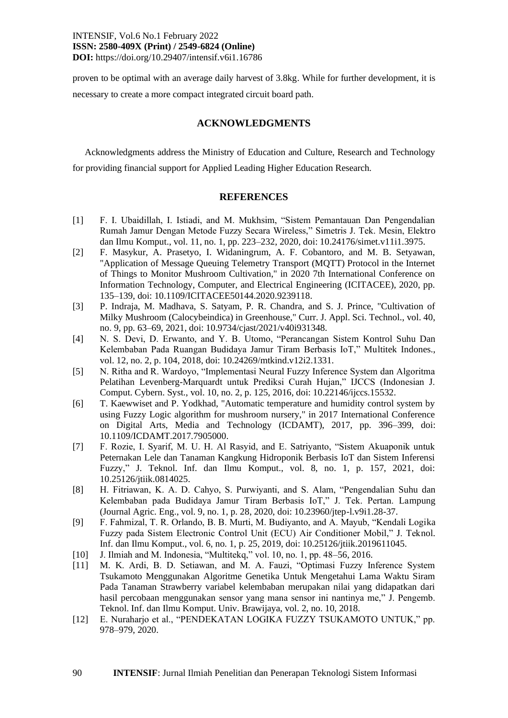proven to be optimal with an average daily harvest of 3.8kg. While for further development, it is necessary to create a more compact integrated circuit board path.

## **ACKNOWLEDGMENTS**

Acknowledgments address the Ministry of Education and Culture, Research and Technology for providing financial support for Applied Leading Higher Education Research.

#### **REFERENCES**

- [1] F. I. Ubaidillah, I. Istiadi, and M. Mukhsim, "Sistem Pemantauan Dan Pengendalian Rumah Jamur Dengan Metode Fuzzy Secara Wireless," Simetris J. Tek. Mesin, Elektro dan Ilmu Komput., vol. 11, no. 1, pp. 223–232, 2020, doi: 10.24176/simet.v11i1.3975.
- [2] F. Masykur, A. Prasetyo, I. Widaningrum, A. F. Cobantoro, and M. B. Setyawan, "Application of Message Queuing Telemetry Transport (MQTT) Protocol in the Internet of Things to Monitor Mushroom Cultivation," in 2020 7th International Conference on Information Technology, Computer, and Electrical Engineering (ICITACEE), 2020, pp. 135–139, doi: 10.1109/ICITACEE50144.2020.9239118.
- [3] P. Indraja, M. Madhava, S. Satyam, P. R. Chandra, and S. J. Prince, "Cultivation of Milky Mushroom (Calocybeindica) in Greenhouse," Curr. J. Appl. Sci. Technol., vol. 40, no. 9, pp. 63–69, 2021, doi: 10.9734/cjast/2021/v40i931348.
- [4] N. S. Devi, D. Erwanto, and Y. B. Utomo, "Perancangan Sistem Kontrol Suhu Dan Kelembaban Pada Ruangan Budidaya Jamur Tiram Berbasis IoT," Multitek Indones., vol. 12, no. 2, p. 104, 2018, doi: 10.24269/mtkind.v12i2.1331.
- [5] N. Ritha and R. Wardoyo, "Implementasi Neural Fuzzy Inference System dan Algoritma Pelatihan Levenberg-Marquardt untuk Prediksi Curah Hujan," IJCCS (Indonesian J. Comput. Cybern. Syst., vol. 10, no. 2, p. 125, 2016, doi: 10.22146/ijccs.15532.
- [6] T. Kaewwiset and P. Yodkhad, "Automatic temperature and humidity control system by using Fuzzy Logic algorithm for mushroom nursery," in 2017 International Conference on Digital Arts, Media and Technology (ICDAMT), 2017, pp. 396–399, doi: 10.1109/ICDAMT.2017.7905000.
- [7] F. Rozie, I. Syarif, M. U. H. Al Rasyid, and E. Satriyanto, "Sistem Akuaponik untuk Peternakan Lele dan Tanaman Kangkung Hidroponik Berbasis IoT dan Sistem Inferensi Fuzzy," J. Teknol. Inf. dan Ilmu Komput., vol. 8, no. 1, p. 157, 2021, doi: 10.25126/jtiik.0814025.
- [8] H. Fitriawan, K. A. D. Cahyo, S. Purwiyanti, and S. Alam, "Pengendalian Suhu dan Kelembaban pada Budidaya Jamur Tiram Berbasis IoT," J. Tek. Pertan. Lampung (Journal Agric. Eng., vol. 9, no. 1, p. 28, 2020, doi: 10.23960/jtep-l.v9i1.28-37.
- [9] F. Fahmizal, T. R. Orlando, B. B. Murti, M. Budiyanto, and A. Mayub, "Kendali Logika Fuzzy pada Sistem Electronic Control Unit (ECU) Air Conditioner Mobil," J. Teknol. Inf. dan Ilmu Komput., vol. 6, no. 1, p. 25, 2019, doi: 10.25126/jtiik.2019611045.
- [10] J. Ilmiah and M. Indonesia, "Multitekq," vol. 10, no. 1, pp. 48–56, 2016.
- [11] M. K. Ardi, B. D. Setiawan, and M. A. Fauzi, "Optimasi Fuzzy Inference System Tsukamoto Menggunakan Algoritme Genetika Untuk Mengetahui Lama Waktu Siram Pada Tanaman Strawberry variabel kelembaban merupakan nilai yang didapatkan dari hasil percobaan menggunakan sensor yang mana sensor ini nantinya me," J. Pengemb. Teknol. Inf. dan Ilmu Komput. Univ. Brawijaya, vol. 2, no. 10, 2018.
- [12] E. Nuraharjo et al., "PENDEKATAN LOGIKA FUZZY TSUKAMOTO UNTUK," pp. 978–979, 2020.